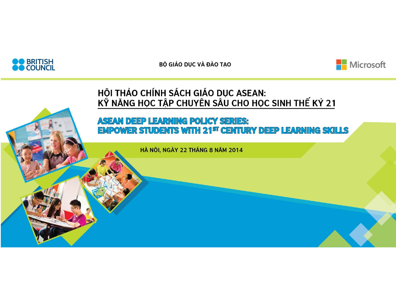

BỘ GIÁO DỤC VÀ ĐÀO TẠO



#### HỘI THẢO CHÍNH SÁCH GIÁO DỤC ASEAN: KÝ NĂNG HỌC TẬP CHUYÊN SÂU CHO HỌC SINH THẾ KÝ 21

#### **ASEAN DEEP LEARNING POLICY SERIES: EMPOWER STUDENTS WITH 21<sup>ST</sup> CENTURY DEEP LEARNING SKILLS**

HÀ NỘI, NGÀY 22 THÁNG 8 NĂM 2014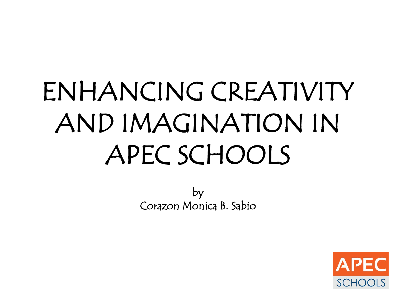# ENHANCING CREATIVITY AND IMAGINATION IN APEC SCHOOLS

by Corazon Monica B. Sabio

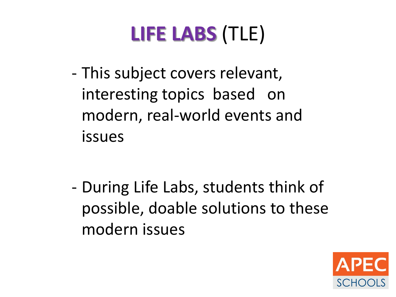## **LIFE LABS** (TLE)

- This subject covers relevant, interesting topics based on modern, real-world events and issues

- During Life Labs, students think of possible, doable solutions to these modern issues

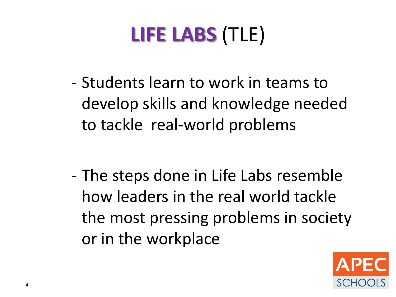# **LIFE LABS** (TLE)

- Students learn to work in teams to develop skills and knowledge needed to tackle real-world problems

- The steps done in Life Labs resemble how leaders in the real world tackle the most pressing problems in society or in the workplace

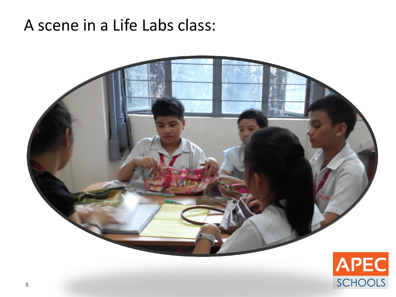#### A scene in a Life Labs class:



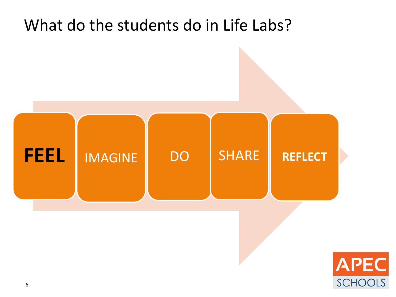

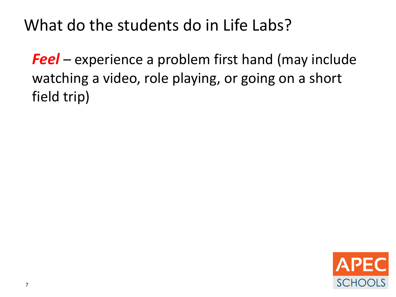*Feel* – experience a problem first hand (may include watching a video, role playing, or going on a short field trip)

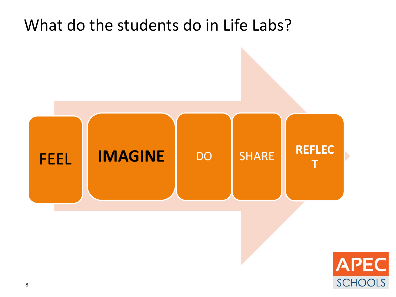

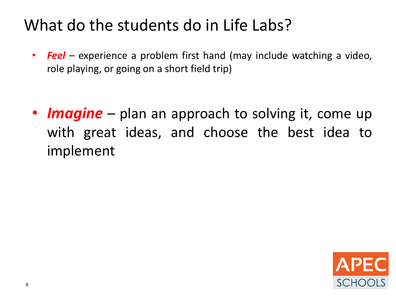• *Feel* – experience a problem first hand (may include watching a video, role playing, or going on a short field trip)

• *Imagine* – plan an approach to solving it, come up with great ideas, and choose the best idea to implement

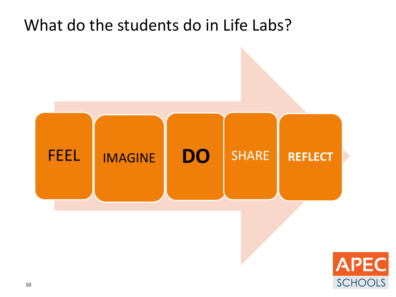

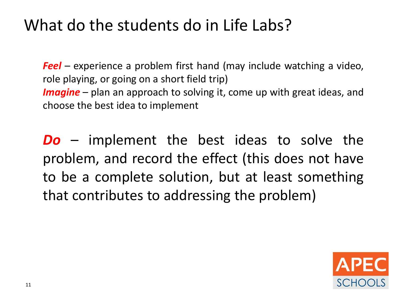*Feel* – experience a problem first hand (may include watching a video, role playing, or going on a short field trip) *Imagine* – plan an approach to solving it, come up with great ideas, and choose the best idea to implement

*Do* – implement the best ideas to solve the problem, and record the effect (this does not have to be a complete solution, but at least something that contributes to addressing the problem)

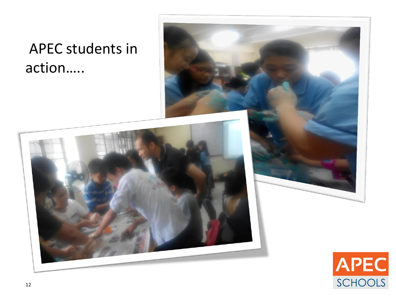#### APEC students in action…..





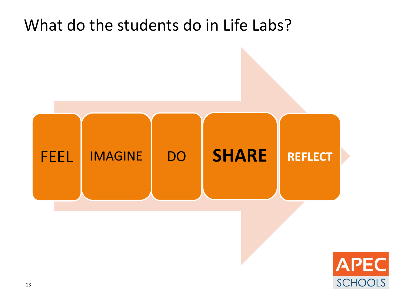

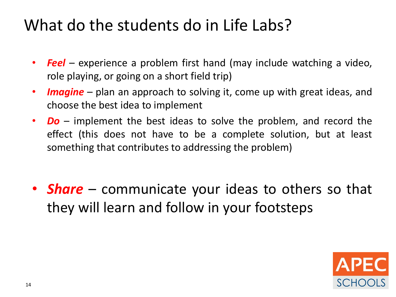- *Feel* experience a problem first hand (may include watching a video, role playing, or going on a short field trip)
- *Imagine* plan an approach to solving it, come up with great ideas, and choose the best idea to implement
- *Do* implement the best ideas to solve the problem, and record the effect (this does not have to be a complete solution, but at least something that contributes to addressing the problem)
- *Share* communicate your ideas to others so that they will learn and follow in your footsteps

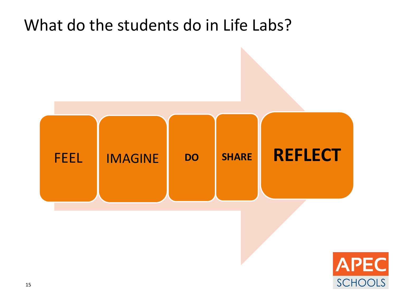

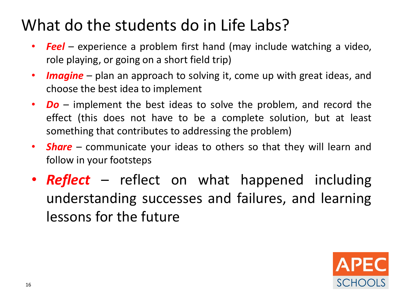- *Feel* experience a problem first hand (may include watching a video, role playing, or going on a short field trip)
- *Imagine* plan an approach to solving it, come up with great ideas, and choose the best idea to implement
- *Do* implement the best ideas to solve the problem, and record the effect (this does not have to be a complete solution, but at least something that contributes to addressing the problem)
- *Share* communicate your ideas to others so that they will learn and follow in your footsteps
- *Reflect* reflect on what happened including understanding successes and failures, and learning lessons for the future

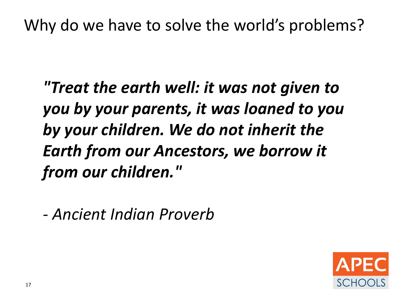Why do we have to solve the world's problems?

*"Treat the earth well: it was not given to you by your parents, it was loaned to you by your children. We do not inherit the Earth from our Ancestors, we borrow it from our children."*

*- Ancient Indian Proverb* 

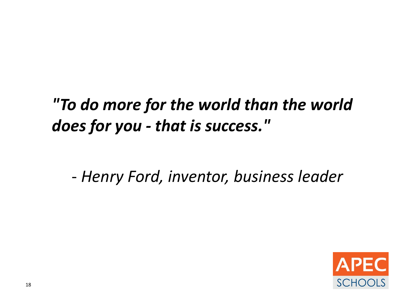## *"To do more for the world than the world does for you - that is success."*

- *Henry Ford, inventor, business leader* 

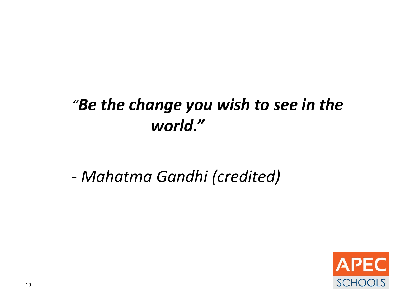#### *"Be the change you wish to see in the world."*

- *Mahatma Gandhi (credited)* 

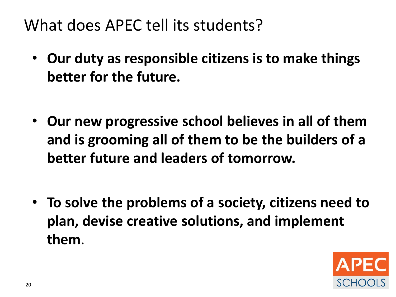What does APEC tell its students?

- **Our duty as responsible citizens is to make things better for the future.**
- **Our new progressive school believes in all of them and is grooming all of them to be the builders of a better future and leaders of tomorrow.**
- **To solve the problems of a society, citizens need to plan, devise creative solutions, and implement them**.